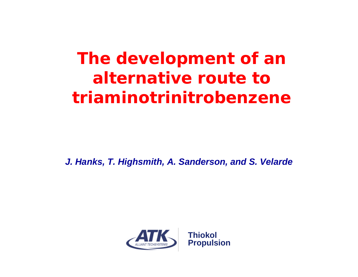*The development of an alternative route to triaminotrinitrobenzene*

*J. Hanks, T. Highsmith, A. Sanderson, and S. Velarde*

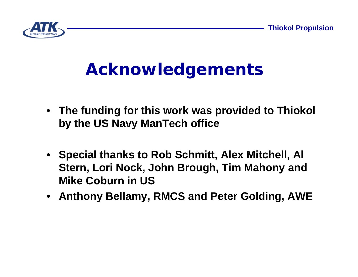

#### *Acknowledgements*

- **The funding for this work was provided to Thiokol by the US Navy ManTech office**
- **Special thanks to Rob Schmitt, Alex Mitchell, Al Stern, Lori Nock, John Brough, Tim Mahony and Mike Coburn in US**
- **Anthony Bellamy, RMCS and Peter Golding, AWE**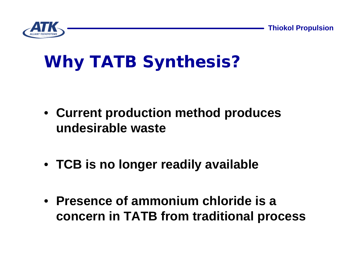**Thiokol Propulsion**



# *Why TATB Synthesis?*

- **Current production method produces undesirable waste**
- **TCB is no longer readily available**
- **Presence of ammonium chloride is a concern in TATB from traditional process**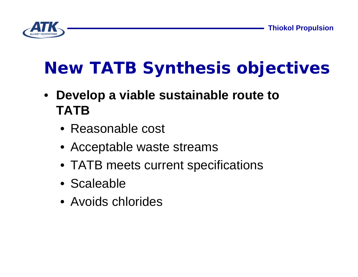

# *New TATB Synthesis objectives*

- **Develop a viable sustainable route to TATB**
	- Reasonable cost
	- Acceptable waste streams
	- TATB meets current specifications
	- Scaleable
	- Avoids chlorides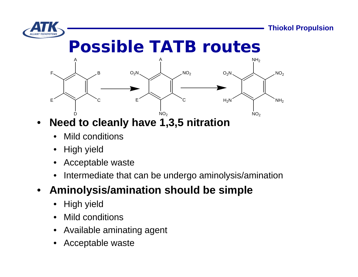

#### *Possible TATB routes*



- **Need to cleanly have 1,3,5 nitration**
	- **Mild conditions**
	- High yield
	- Acceptable waste
	- Intermediate that can be undergo aminolysis/amination

#### • **Aminolysis/amination should be simple**

- High yield
- Mild conditions
- Available aminating agent
- Acceptable waste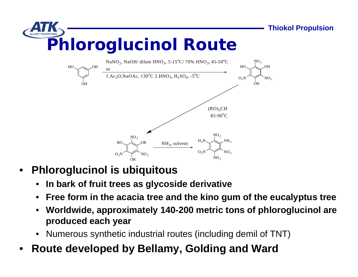

- **Phloroglucinol is ubiquitous**
	- **In bark of fruit trees as glycoside derivative**
	- **Free form in the acacia tree and the kino gum of the eucalyptus tree**
	- **Worldwide, approximately 140-200 metric tons of phloroglucinol are produced each year**
	- Numerous synthetic industrial routes (including demil of TNT)
- **Route developed by Bellamy, Golding and Ward**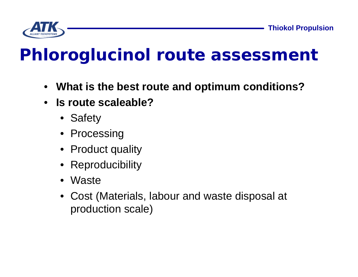

# *Phloroglucinol route assessment*

- **What is the best route and optimum conditions?**
- **Is route scaleable?**
	- Safety
	- Processing
	- Product quality
	- Reproducibility
	- Waste
	- Cost (Materials, labour and waste disposal at production scale)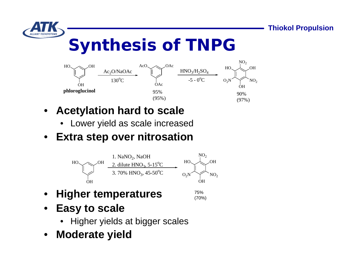

# *Synthesis of TNPG*



- **Acetylation hard to scale**
	- Lower yield as scale increased
- **Extra step over nitrosation**



- **Higher temperatures**
- 75% (70%)
- **Easy to scale**
	- Higher yields at bigger scales
- **Moderate yield**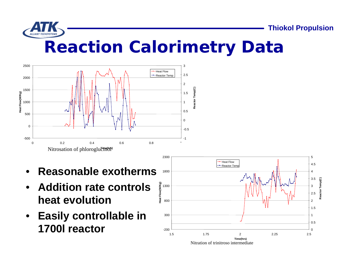

**Thiokol Propulsion**

#### *Reaction Calorimetry Data*



- **Reasonable exotherms**
- **Addition rate controls heat evolution**
- **Easily controllable in 1700l reactor**

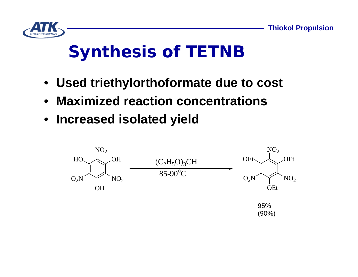

# *Synthesis of TETNB*

- **Used triethylorthoformate due to cost**
- **Maximized reaction concentrations**
- **Increased isolated yield**

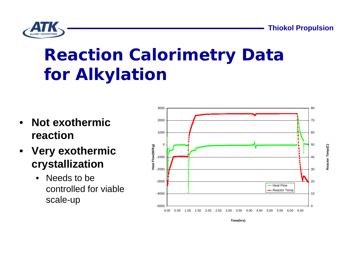**Thiokol Propulsion**

**Reactor Temp(C)**

Reactor Temp(C)



## *Reaction Calorimetry Data for Alkylation*

- **Not exothermic reaction**
- **Very exothermic crystallization**
	- Needs to be controlled for viable scale-up



**Time(hrs)**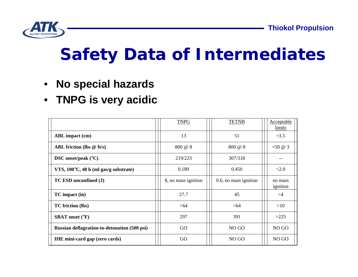

### *Safety Data of Intermediates*

- **No special hazards**
- **TNPG is very acidic**

|                                              | <b>TNPG</b>         | <b>TETNB</b>          | Acceptable<br><i>limits</i>   |
|----------------------------------------------|---------------------|-----------------------|-------------------------------|
| <b>ABL</b> impact (cm)                       | 13                  | 51                    | $=3.5$                        |
| ABL friction (lbs $@$ ft/s)                  | 800 @ 8             | 800 @ 8               | $=50 \; \textcircled{a} \; 3$ |
| DSC onset/peak $(^{\circ}C)$                 | 219/223             | 307/318               |                               |
| VTS, 100°C, 48 h (ml gas/g substrate)        | 0.189               | 0.450                 | <2.0                          |
| TC ESD unconfined (J)                        | 8, no mass ignition | 0.6, no mass ignition | no mass<br>ignition           |
| TC impact (in)                               | 27.7                | 45                    | >4                            |
| <b>TC</b> friction (lbs)                     | >64                 | >64                   | >10                           |
| <b>SBAT</b> onset (°F)                       | 297                 | 391                   | >225                          |
| Russian deflagration-to-detonation (500 psi) | GO                  | NO GO                 | NO GO                         |
| <b>IHE</b> mini-card gap (zero cards)        | GO                  | NO <sub>GO</sub>      | NO <sub>GO</sub>              |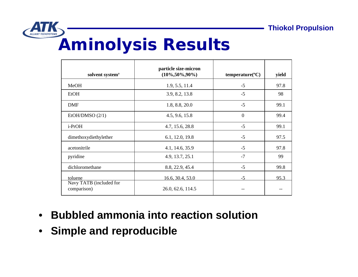

#### *Aminolysis Results*

| solvent system <sup>†</sup>            | particle size-micron<br>$(10\%, 50\%, 90\%)$ | $temperature$ <sup>°</sup> C) | yield |
|----------------------------------------|----------------------------------------------|-------------------------------|-------|
| MeOH                                   | 1.9, 5.5, 11.4                               | $-5$                          | 97.8  |
| <b>EtOH</b>                            | 3.9, 8.2, 13.8                               | $-5$                          | 98    |
| <b>DMF</b>                             | 1.8, 8.8, 20.0                               | $-5$                          | 99.1  |
| EtOH/DMSO(2/1)                         | 4.5, 9.6, 15.8                               | $\Omega$                      | 99.4  |
| i-PrOH                                 | 4.7, 15.6, 28.8                              | $-5$                          | 99.1  |
| dimethoxydiethylether                  | 6.1, 12.0, 19.8                              | $-5$                          | 97.5  |
| acetonitrile                           | 4.1, 14.6, 35.9                              | $-5$                          | 97.8  |
| pyridine                               | 4.9, 13.7, 25.1                              | $-7$                          | 99    |
| dichloromethane                        | 8.8, 22.9, 45.4                              | $-5$                          | 99.8  |
| toluene                                | 16.6, 30.4, 53.0                             | $-5$                          | 95.3  |
| Navy TATB (included for<br>comparison) | 26.0, 62.6, 114.5                            |                               |       |

- **Bubbled ammonia into reaction solution**
- **Simple and reproducible**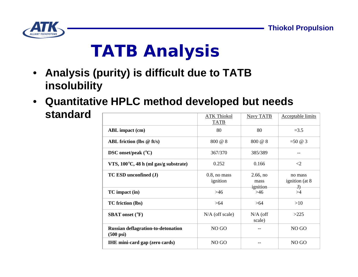

# *TATB Analysis*

- **Analysis (purity) is difficult due to TATB insolubility**
- **Quantitative HPLC method developed but needs standard**  $M$  Tata  $\overline{M}$  and  $\overline{M}$  and  $\overline{M}$

|                                                                  | ATK Thiokol<br><b>TATB</b>  | Navy TATB                       | Acceptable limits                          |
|------------------------------------------------------------------|-----------------------------|---------------------------------|--------------------------------------------|
| <b>ABL</b> impact (cm)                                           | 80                          | 80                              | $=3.5$                                     |
| ABL friction (lbs $@$ ft/s)                                      | 800 @ 8                     | 800 @ 8                         | $=50 \; \textcircled{a} \; 3$              |
| DSC onset/peak $(^{\circ}C)$                                     | 367/370                     | 385/389                         |                                            |
| VTS, 100°C, 48 h (ml gas/g substrate)                            | 0.252                       | 0.166                           | $\langle 2 \rangle$                        |
| TC ESD unconfined (J)                                            | $0.8$ , no mass<br>ignition | $2.66$ , no<br>mass<br>ignition | no mass<br>ignition (at 8)<br>$\mathbf{J}$ |
| $TC$ impact $(in)$                                               | >46                         | $>46$                           | >4                                         |
| <b>TC</b> friction (lbs)                                         | >64                         | >64                             | >10                                        |
| <b>SBAT</b> onset (°F)                                           | $N/A$ (off scale)           | $N/A$ (off<br>scale)            | >225                                       |
| <b>Russian deflagration-to-detonation</b><br>$(500 \text{ psi})$ | NO <sub>GO</sub>            |                                 | NO GO                                      |
| <b>IHE</b> mini-card gap (zero cards)                            | NO <sub>GO</sub>            |                                 | NO GO                                      |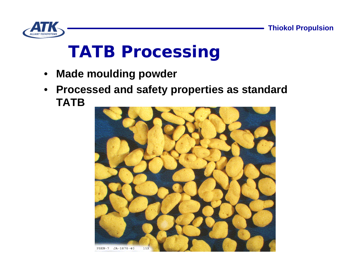

## *TATB Processing*

- **Made moulding powder**
- **Processed and safety properties as standard TATB**